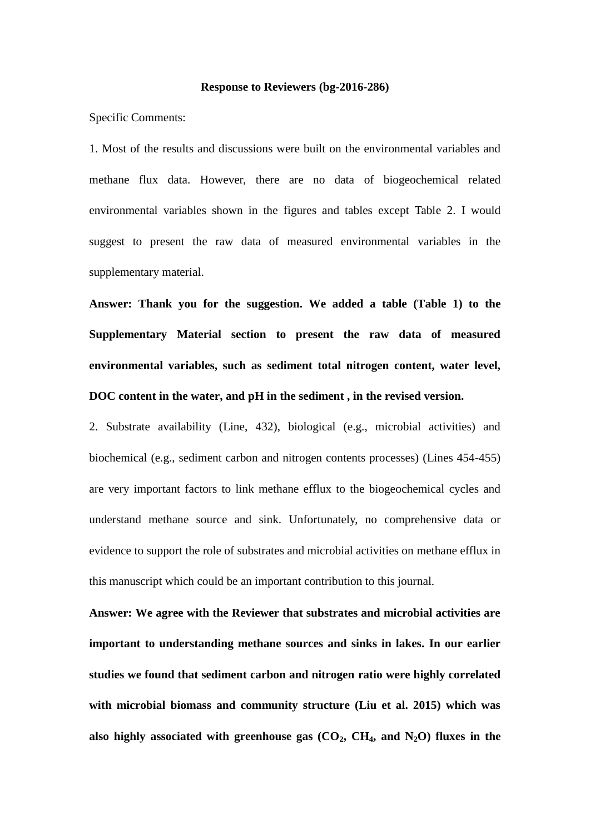## **Response to Reviewers (bg-2016-286)**

Specific Comments:

1. Most of the results and discussions were built on the environmental variables and methane flux data. However, there are no data of biogeochemical related environmental variables shown in the figures and tables except Table 2. I would suggest to present the raw data of measured environmental variables in the supplementary material.

**Answer: Thank you for the suggestion. We added a table (Table 1) to the Supplementary Material section to present the raw data of measured environmental variables, such as sediment total nitrogen content, water level,** 

## **DOC content in the water, and pH in the sediment , in the revised version.**

2. Substrate availability (Line, 432), biological (e.g., microbial activities) and biochemical (e.g., sediment carbon and nitrogen contents processes) (Lines 454-455) are very important factors to link methane efflux to the biogeochemical cycles and understand methane source and sink. Unfortunately, no comprehensive data or evidence to support the role of substrates and microbial activities on methane efflux in this manuscript which could be an important contribution to this journal.

**Answer: We agree with the Reviewer that substrates and microbial activities are important to understanding methane sources and sinks in lakes. In our earlier studies we found that sediment carbon and nitrogen ratio were highly correlated with microbial biomass and community structure (Liu et al. 2015) which was**  also highly associated with greenhouse gas  $(CO_2, CH_4, and N_2O)$  fluxes in the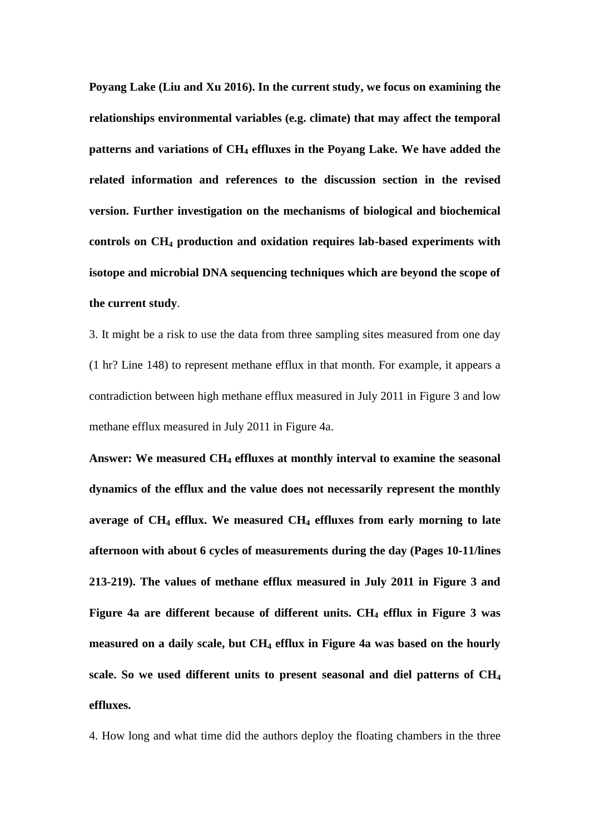**Poyang Lake (Liu and Xu 2016). In the current study, we focus on examining the relationships environmental variables (e.g. climate) that may affect the temporal patterns and variations of CH<sup>4</sup> effluxes in the Poyang Lake. We have added the related information and references to the discussion section in the revised version. Further investigation on the mechanisms of biological and biochemical controls on CH<sup>4</sup> production and oxidation requires lab-based experiments with isotope and microbial DNA sequencing techniques which are beyond the scope of the current study**.

3. It might be a risk to use the data from three sampling sites measured from one day (1 hr? Line 148) to represent methane efflux in that month. For example, it appears a contradiction between high methane efflux measured in July 2011 in Figure 3 and low methane efflux measured in July 2011 in Figure 4a.

**Answer: We measured CH<sup>4</sup> effluxes at monthly interval to examine the seasonal dynamics of the efflux and the value does not necessarily represent the monthly average of CH<sup>4</sup> efflux. We measured CH<sup>4</sup> effluxes from early morning to late afternoon with about 6 cycles of measurements during the day (Pages 10-11/lines 213-219). The values of methane efflux measured in July 2011 in Figure 3 and Figure 4a are different because of different units. CH<sup>4</sup> efflux in Figure 3 was measured on a daily scale, but CH<sup>4</sup> efflux in Figure 4a was based on the hourly scale. So we used different units to present seasonal and diel patterns of CH<sup>4</sup> effluxes.**

4. How long and what time did the authors deploy the floating chambers in the three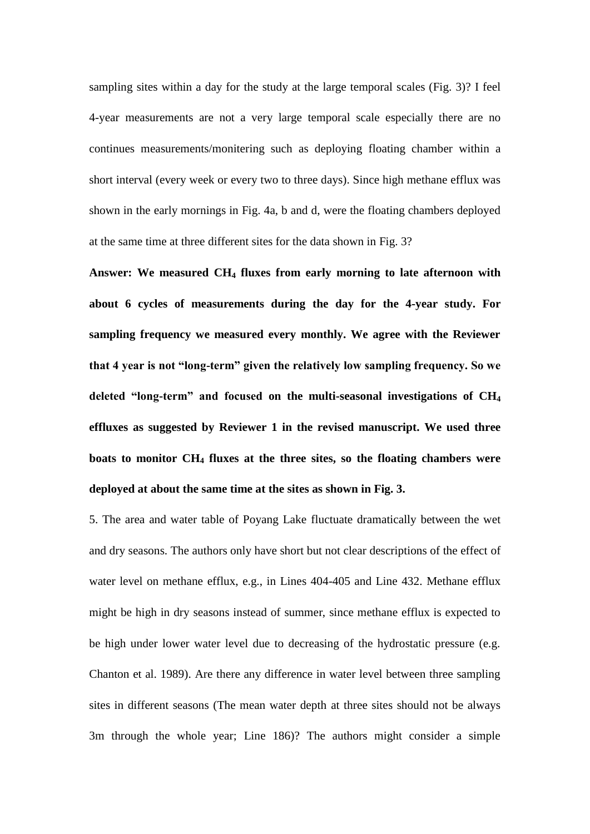sampling sites within a day for the study at the large temporal scales (Fig. 3)? I feel 4-year measurements are not a very large temporal scale especially there are no continues measurements/monitering such as deploying floating chamber within a short interval (every week or every two to three days). Since high methane efflux was shown in the early mornings in Fig. 4a, b and d, were the floating chambers deployed at the same time at three different sites for the data shown in Fig. 3?

**Answer: We measured CH<sup>4</sup> fluxes from early morning to late afternoon with about 6 cycles of measurements during the day for the 4-year study. For sampling frequency we measured every monthly. We agree with the Reviewer that 4 year is not "long-term" given the relatively low sampling frequency. So we deleted "long-term" and focused on the multi-seasonal investigations of CH<sup>4</sup> effluxes as suggested by Reviewer 1 in the revised manuscript. We used three boats to monitor CH<sup>4</sup> fluxes at the three sites, so the floating chambers were deployed at about the same time at the sites as shown in Fig. 3.**

5. The area and water table of Poyang Lake fluctuate dramatically between the wet and dry seasons. The authors only have short but not clear descriptions of the effect of water level on methane efflux, e.g., in Lines 404-405 and Line 432. Methane efflux might be high in dry seasons instead of summer, since methane efflux is expected to be high under lower water level due to decreasing of the hydrostatic pressure (e.g. Chanton et al. 1989). Are there any difference in water level between three sampling sites in different seasons (The mean water depth at three sites should not be always 3m through the whole year; Line 186)? The authors might consider a simple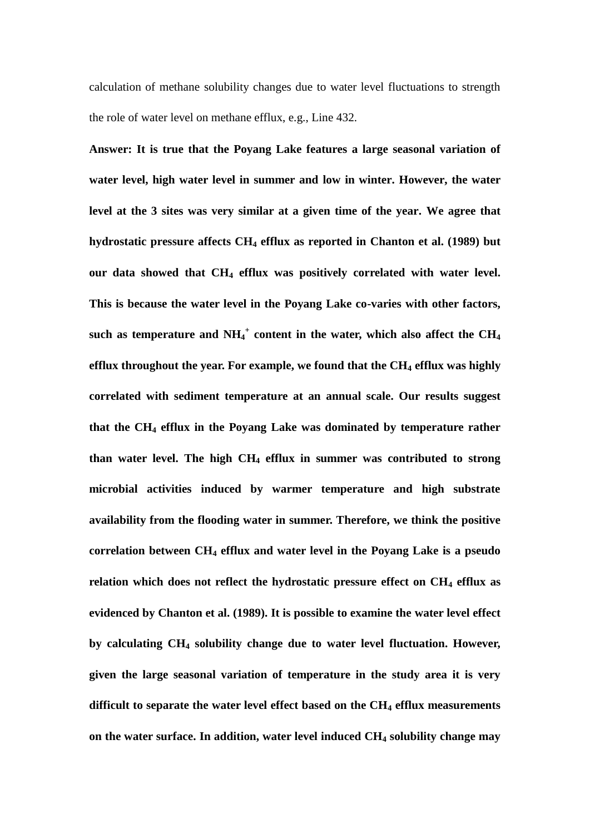calculation of methane solubility changes due to water level fluctuations to strength the role of water level on methane efflux, e.g., Line 432.

**Answer: It is true that the Poyang Lake features a large seasonal variation of water level, high water level in summer and low in winter. However, the water level at the 3 sites was very similar at a given time of the year. We agree that hydrostatic pressure affects CH<sup>4</sup> efflux as reported in Chanton et al. (1989) but our data showed that CH<sup>4</sup> efflux was positively correlated with water level. This is because the water level in the Poyang Lake co-varies with other factors, such as temperature and NH<sup>4</sup> + content in the water, which also affect the CH<sup>4</sup> efflux throughout the year. For example, we found that the CH<sup>4</sup> efflux was highly correlated with sediment temperature at an annual scale. Our results suggest that the CH<sup>4</sup> efflux in the Poyang Lake was dominated by temperature rather than water level. The high CH<sup>4</sup> efflux in summer was contributed to strong microbial activities induced by warmer temperature and high substrate availability from the flooding water in summer. Therefore, we think the positive correlation between CH<sup>4</sup> efflux and water level in the Poyang Lake is a pseudo relation which does not reflect the hydrostatic pressure effect on CH<sup>4</sup> efflux as evidenced by Chanton et al. (1989). It is possible to examine the water level effect by calculating CH<sup>4</sup> solubility change due to water level fluctuation. However, given the large seasonal variation of temperature in the study area it is very difficult to separate the water level effect based on the CH<sup>4</sup> efflux measurements on the water surface. In addition, water level induced CH<sup>4</sup> solubility change may**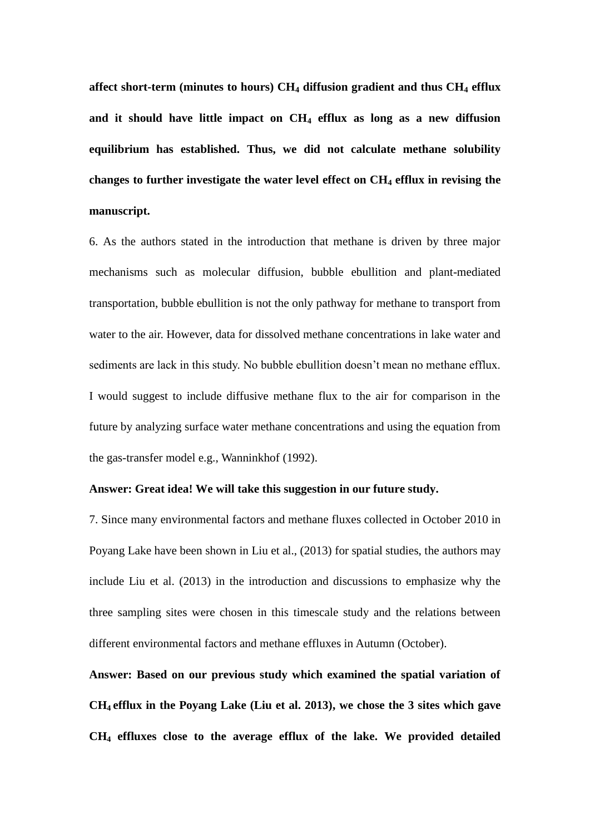**affect short-term (minutes to hours) CH<sup>4</sup> diffusion gradient and thus CH<sup>4</sup> efflux and it should have little impact on CH<sup>4</sup> efflux as long as a new diffusion equilibrium has established. Thus, we did not calculate methane solubility changes to further investigate the water level effect on CH<sup>4</sup> efflux in revising the manuscript.** 

6. As the authors stated in the introduction that methane is driven by three major mechanisms such as molecular diffusion, bubble ebullition and plant-mediated transportation, bubble ebullition is not the only pathway for methane to transport from water to the air. However, data for dissolved methane concentrations in lake water and sediments are lack in this study. No bubble ebullition doesn't mean no methane efflux. I would suggest to include diffusive methane flux to the air for comparison in the future by analyzing surface water methane concentrations and using the equation from the gas-transfer model e.g., Wanninkhof (1992).

## **Answer: Great idea! We will take this suggestion in our future study.**

7. Since many environmental factors and methane fluxes collected in October 2010 in Poyang Lake have been shown in Liu et al., (2013) for spatial studies, the authors may include Liu et al. (2013) in the introduction and discussions to emphasize why the three sampling sites were chosen in this timescale study and the relations between different environmental factors and methane effluxes in Autumn (October).

**Answer: Based on our previous study which examined the spatial variation of CH4 efflux in the Poyang Lake (Liu et al. 2013), we chose the 3 sites which gave CH<sup>4</sup> effluxes close to the average efflux of the lake. We provided detailed**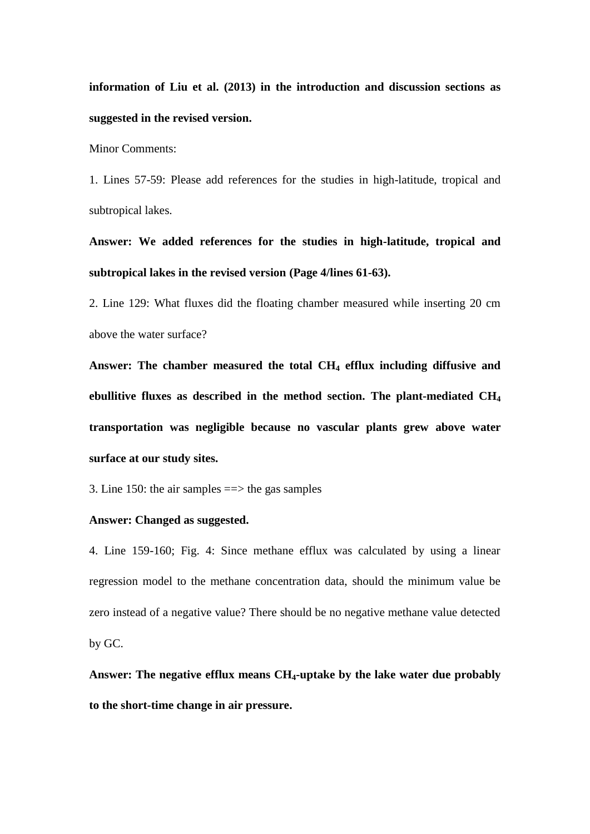**information of Liu et al. (2013) in the introduction and discussion sections as suggested in the revised version.**

Minor Comments:

1. Lines 57-59: Please add references for the studies in high-latitude, tropical and subtropical lakes.

**Answer: We added references for the studies in high-latitude, tropical and subtropical lakes in the revised version (Page 4/lines 61-63).**

2. Line 129: What fluxes did the floating chamber measured while inserting 20 cm above the water surface?

**Answer: The chamber measured the total CH<sup>4</sup> efflux including diffusive and ebullitive fluxes as described in the method section. The plant-mediated CH<sup>4</sup> transportation was negligible because no vascular plants grew above water surface at our study sites.**

3. Line 150: the air samples  $\Rightarrow$  the gas samples

## **Answer: Changed as suggested.**

4. Line 159-160; Fig. 4: Since methane efflux was calculated by using a linear regression model to the methane concentration data, should the minimum value be zero instead of a negative value? There should be no negative methane value detected by GC.

**Answer: The negative efflux means CH4-uptake by the lake water due probably to the short-time change in air pressure.**